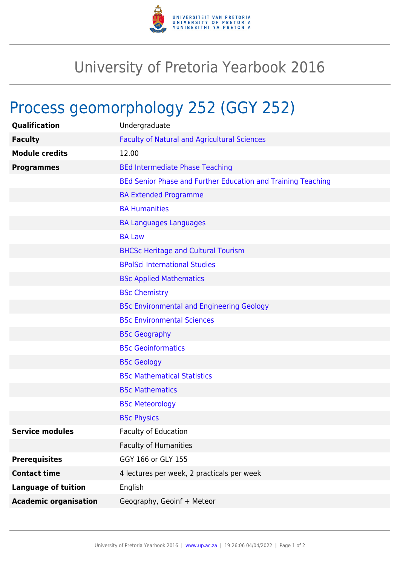

## University of Pretoria Yearbook 2016

## Process geomorphology 252 (GGY 252)

| Qualification                | Undergraduate                                                |
|------------------------------|--------------------------------------------------------------|
| <b>Faculty</b>               | <b>Faculty of Natural and Agricultural Sciences</b>          |
| <b>Module credits</b>        | 12.00                                                        |
| <b>Programmes</b>            | <b>BEd Intermediate Phase Teaching</b>                       |
|                              | BEd Senior Phase and Further Education and Training Teaching |
|                              | <b>BA Extended Programme</b>                                 |
|                              | <b>BA Humanities</b>                                         |
|                              | <b>BA Languages Languages</b>                                |
|                              | <b>BA Law</b>                                                |
|                              | <b>BHCSc Heritage and Cultural Tourism</b>                   |
|                              | <b>BPolSci International Studies</b>                         |
|                              | <b>BSc Applied Mathematics</b>                               |
|                              | <b>BSc Chemistry</b>                                         |
|                              | <b>BSc Environmental and Engineering Geology</b>             |
|                              | <b>BSc Environmental Sciences</b>                            |
|                              | <b>BSc Geography</b>                                         |
|                              | <b>BSc Geoinformatics</b>                                    |
|                              | <b>BSc Geology</b>                                           |
|                              | <b>BSc Mathematical Statistics</b>                           |
|                              | <b>BSc Mathematics</b>                                       |
|                              | <b>BSc Meteorology</b>                                       |
|                              | <b>BSc Physics</b>                                           |
| <b>Service modules</b>       | <b>Faculty of Education</b>                                  |
|                              | <b>Faculty of Humanities</b>                                 |
| <b>Prerequisites</b>         | GGY 166 or GLY 155                                           |
| <b>Contact time</b>          | 4 lectures per week, 2 practicals per week                   |
| <b>Language of tuition</b>   | English                                                      |
| <b>Academic organisation</b> | Geography, Geoinf + Meteor                                   |
|                              |                                                              |